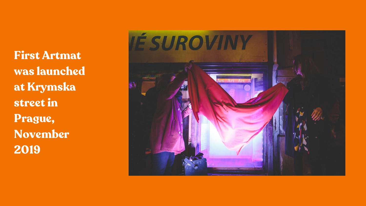First Artmat was launched at Krymska street in Prague, November 2019

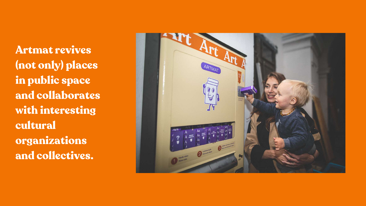Artmat revives (not only) places in public space and collaborates with interesting cultural organizations and collectives.

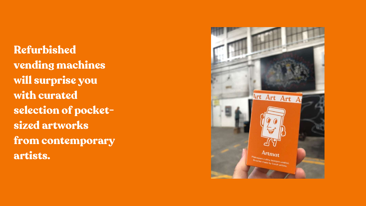Refurbished vending machines will surprise you with curated selection of pocketsized artworks from contemporary artists.

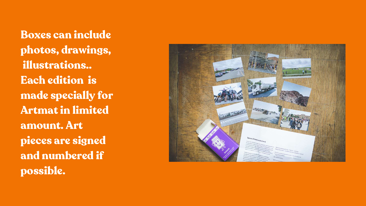Boxes can include photos, drawings, illustrations.. Each edition is made specially for Artmat in limited amount. Art pieces are signed and numbered if possible.

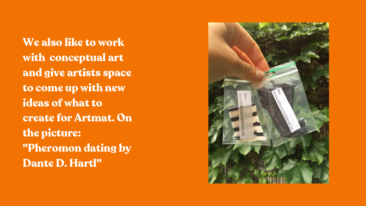We also like to work with conceptual art and give artists space to come up with new ideas of what to create for Artmat. On the picture: "Pheromon dating by Dante D. Hartl"

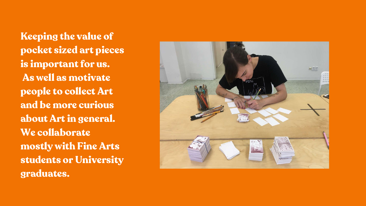Keeping the value of pocket sized art pieces is important for us. As well as motivate people to collect Art and be more curious about Art in general. We collaborate mostly with Fine Arts students or University graduates.

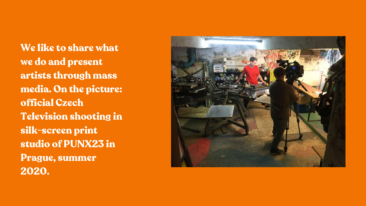We like to share what we do and present artists through mass media. On the picture: official Czech Television shooting in silk-screen print studio of PUNX23 in Prague, summer 2020.

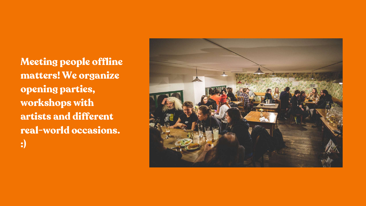Meeting people offline matters! We organize opening parties, workshops with artists and different real-world occasions. :)

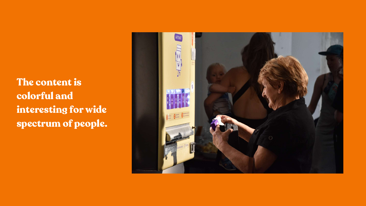The content is colorful and interesting for wide spectrum of people.